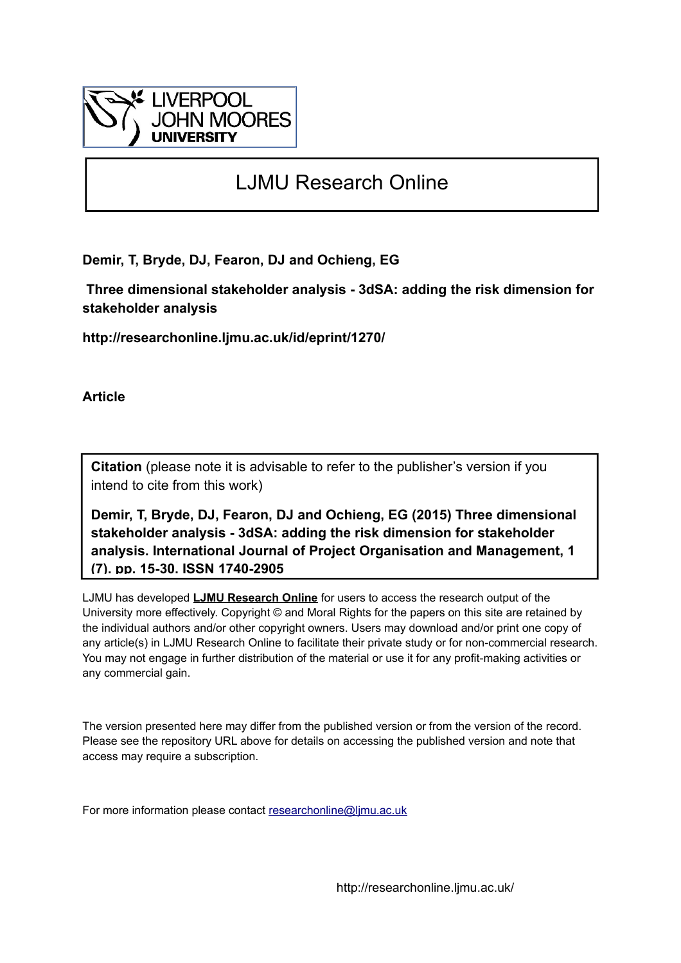

# LJMU Research Online

**Demir, T, Bryde, DJ, Fearon, DJ and Ochieng, EG**

 **Three dimensional stakeholder analysis - 3dSA: adding the risk dimension for stakeholder analysis**

**http://researchonline.ljmu.ac.uk/id/eprint/1270/**

**Article**

**Citation** (please note it is advisable to refer to the publisher's version if you intend to cite from this work)

**Demir, T, Bryde, DJ, Fearon, DJ and Ochieng, EG (2015) Three dimensional stakeholder analysis - 3dSA: adding the risk dimension for stakeholder analysis. International Journal of Project Organisation and Management, 1 (7). pp. 15-30. ISSN 1740-2905** 

LJMU has developed **[LJMU Research Online](http://researchonline.ljmu.ac.uk/)** for users to access the research output of the University more effectively. Copyright © and Moral Rights for the papers on this site are retained by the individual authors and/or other copyright owners. Users may download and/or print one copy of any article(s) in LJMU Research Online to facilitate their private study or for non-commercial research. You may not engage in further distribution of the material or use it for any profit-making activities or any commercial gain.

The version presented here may differ from the published version or from the version of the record. Please see the repository URL above for details on accessing the published version and note that access may require a subscription.

For more information please contact [researchonline@ljmu.ac.uk](mailto:researchonline@ljmu.ac.uk)

http://researchonline.ljmu.ac.uk/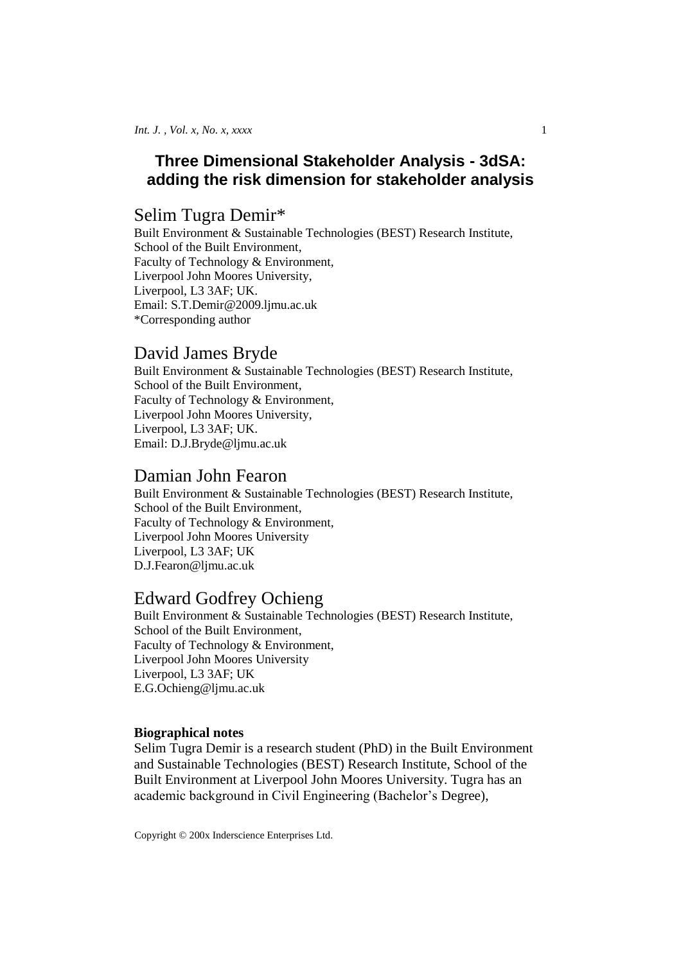# **Three Dimensional Stakeholder Analysis - 3dSA: adding the risk dimension for stakeholder analysis**

# Selim Tugra Demir\*

Built Environment & Sustainable Technologies (BEST) Research Institute, School of the Built Environment, Faculty of Technology & Environment, Liverpool John Moores University, Liverpool, L3 3AF; UK. Email: S.T.Demir@2009.ljmu.ac.uk \*Corresponding author

# David James Bryde

Built Environment & Sustainable Technologies (BEST) Research Institute, School of the Built Environment, Faculty of Technology & Environment, Liverpool John Moores University, Liverpool, L3 3AF; UK. Email: D.J.Bryde@ljmu.ac.uk

# Damian John Fearon

Built Environment & Sustainable Technologies (BEST) Research Institute, School of the Built Environment, Faculty of Technology & Environment, Liverpool John Moores University Liverpool, L3 3AF; UK D.J.Fearon@ljmu.ac.uk

# Edward Godfrey Ochieng

Built Environment & Sustainable Technologies (BEST) Research Institute, School of the Built Environment, Faculty of Technology & Environment, Liverpool John Moores University Liverpool, L3 3AF; UK E.G.Ochieng@ljmu.ac.uk

#### **Biographical notes**

Selim Tugra Demir is a research student (PhD) in the Built Environment and Sustainable Technologies (BEST) Research Institute, School of the Built Environment at Liverpool John Moores University. Tugra has an academic background in Civil Engineering (Bachelor's Degree),

Copyright © 200x Inderscience Enterprises Ltd.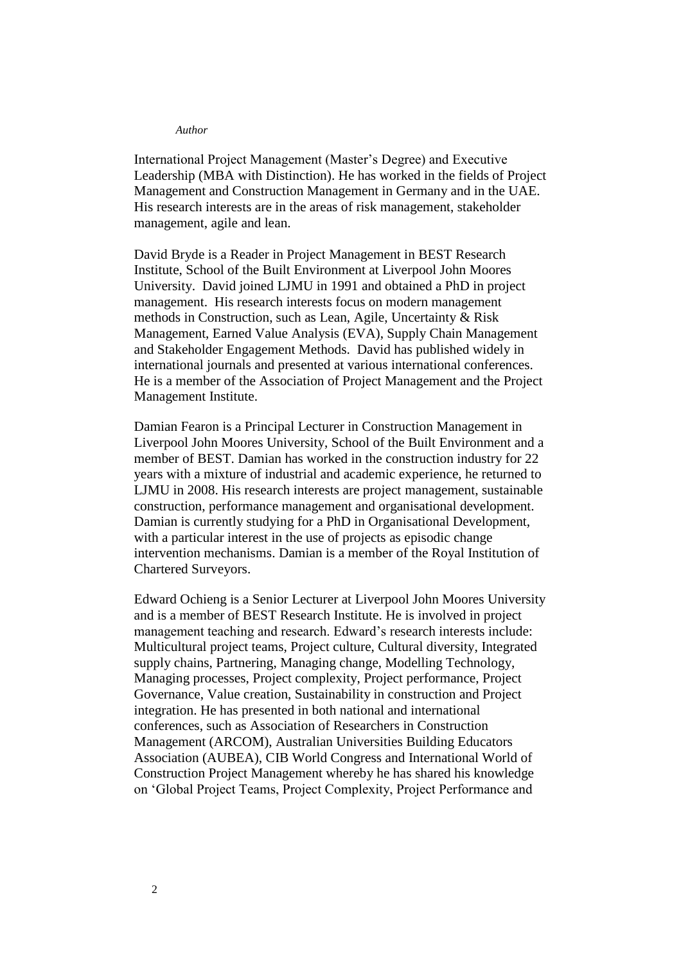International Project Management (Master's Degree) and Executive Leadership (MBA with Distinction). He has worked in the fields of Project Management and Construction Management in Germany and in the UAE. His research interests are in the areas of risk management, stakeholder management, agile and lean.

David Bryde is a Reader in Project Management in BEST Research Institute, School of the Built Environment at Liverpool John Moores University. David joined LJMU in 1991 and obtained a PhD in project management. His research interests focus on modern management methods in Construction, such as Lean, Agile, Uncertainty & Risk Management, Earned Value Analysis (EVA), Supply Chain Management and Stakeholder Engagement Methods. David has published widely in international journals and presented at various international conferences. He is a member of the Association of Project Management and the Project Management Institute.

Damian Fearon is a Principal Lecturer in Construction Management in Liverpool John Moores University, School of the Built Environment and a member of BEST. Damian has worked in the construction industry for 22 years with a mixture of industrial and academic experience, he returned to LJMU in 2008. His research interests are project management, sustainable construction, performance management and organisational development. Damian is currently studying for a PhD in Organisational Development, with a particular interest in the use of projects as episodic change intervention mechanisms. Damian is a member of the Royal Institution of Chartered Surveyors.

Edward Ochieng is a Senior Lecturer at Liverpool John Moores University and is a member of BEST Research Institute. He is involved in project management teaching and research. Edward's research interests include: Multicultural project teams, Project culture, Cultural diversity, Integrated supply chains, Partnering, Managing change, Modelling Technology, Managing processes, Project complexity, Project performance, Project Governance, Value creation, Sustainability in construction and Project integration. He has presented in both national and international conferences, such as Association of Researchers in Construction Management (ARCOM), Australian Universities Building Educators Association (AUBEA), CIB World Congress and International World of Construction Project Management whereby he has shared his knowledge on 'Global Project Teams, Project Complexity, Project Performance and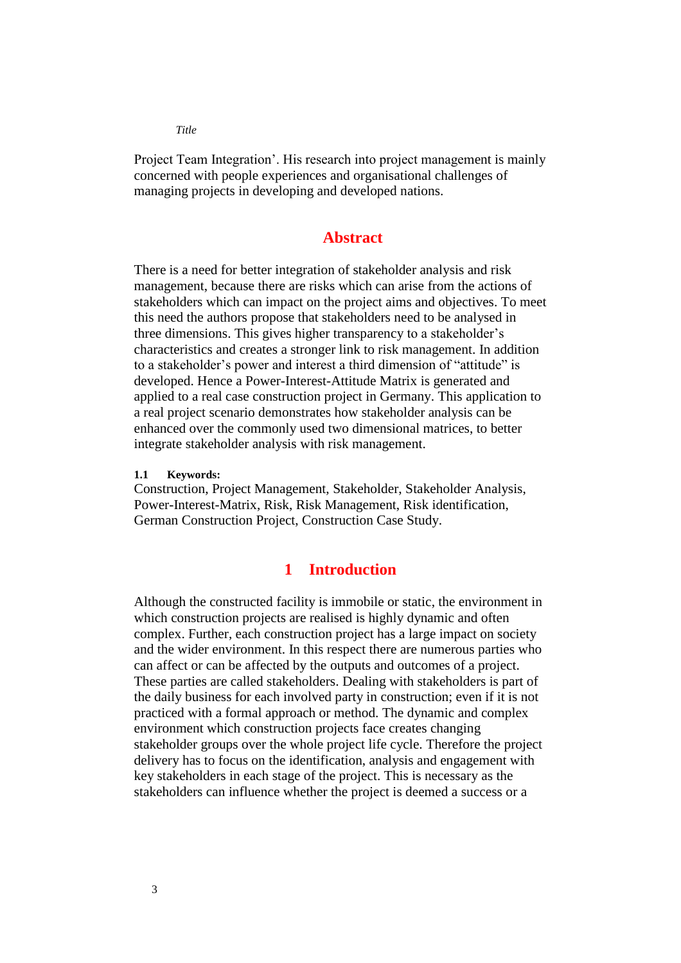Project Team Integration'. His research into project management is mainly concerned with people experiences and organisational challenges of managing projects in developing and developed nations.

### **Abstract**

There is a need for better integration of stakeholder analysis and risk management, because there are risks which can arise from the actions of stakeholders which can impact on the project aims and objectives. To meet this need the authors propose that stakeholders need to be analysed in three dimensions. This gives higher transparency to a stakeholder's characteristics and creates a stronger link to risk management. In addition to a stakeholder's power and interest a third dimension of "attitude" is developed. Hence a Power-Interest-Attitude Matrix is generated and applied to a real case construction project in Germany. This application to a real project scenario demonstrates how stakeholder analysis can be enhanced over the commonly used two dimensional matrices, to better integrate stakeholder analysis with risk management.

#### **1.1 Keywords:**

Construction, Project Management, Stakeholder, Stakeholder Analysis, Power-Interest-Matrix, Risk, Risk Management, Risk identification, German Construction Project, Construction Case Study.

# **1 Introduction**

Although the constructed facility is immobile or static, the environment in which construction projects are realised is highly dynamic and often complex. Further, each construction project has a large impact on society and the wider environment. In this respect there are numerous parties who can affect or can be affected by the outputs and outcomes of a project. These parties are called stakeholders. Dealing with stakeholders is part of the daily business for each involved party in construction; even if it is not practiced with a formal approach or method. The dynamic and complex environment which construction projects face creates changing stakeholder groups over the whole project life cycle. Therefore the project delivery has to focus on the identification, analysis and engagement with key stakeholders in each stage of the project. This is necessary as the stakeholders can influence whether the project is deemed a success or a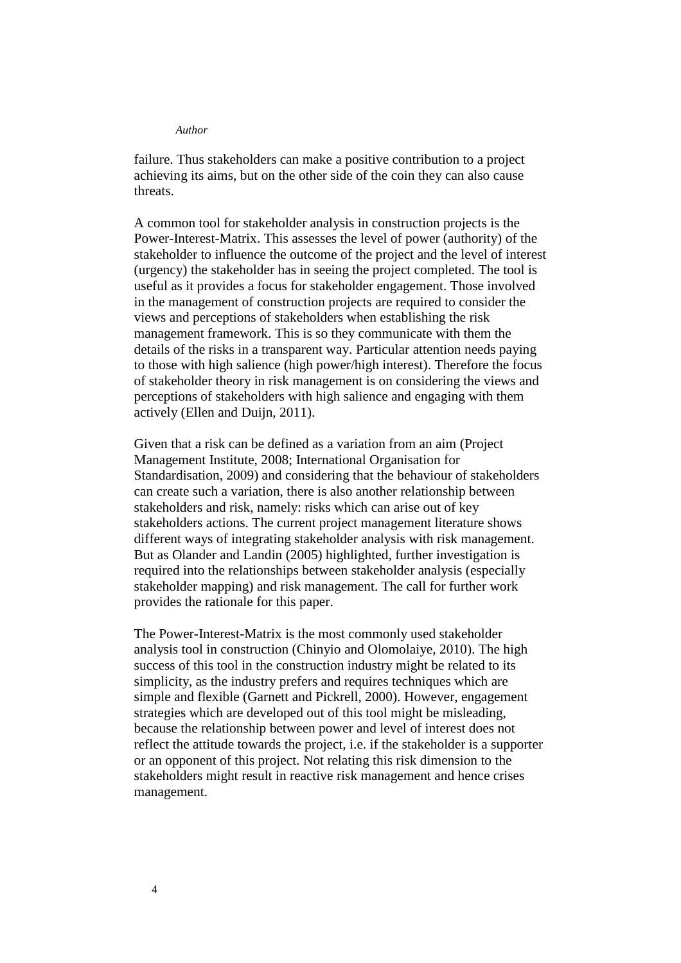failure. Thus stakeholders can make a positive contribution to a project achieving its aims, but on the other side of the coin they can also cause threats.

A common tool for stakeholder analysis in construction projects is the Power-Interest-Matrix. This assesses the level of power (authority) of the stakeholder to influence the outcome of the project and the level of interest (urgency) the stakeholder has in seeing the project completed. The tool is useful as it provides a focus for stakeholder engagement. Those involved in the management of construction projects are required to consider the views and perceptions of stakeholders when establishing the risk management framework. This is so they communicate with them the details of the risks in a transparent way. Particular attention needs paying to those with high salience (high power/high interest). Therefore the focus of stakeholder theory in risk management is on considering the views and perceptions of stakeholders with high salience and engaging with them actively (Ellen and Duijn, 2011).

Given that a risk can be defined as a variation from an aim (Project Management Institute, 2008; International Organisation for Standardisation, 2009) and considering that the behaviour of stakeholders can create such a variation, there is also another relationship between stakeholders and risk, namely: risks which can arise out of key stakeholders actions. The current project management literature shows different ways of integrating stakeholder analysis with risk management. But as Olander and Landin (2005) highlighted, further investigation is required into the relationships between stakeholder analysis (especially stakeholder mapping) and risk management. The call for further work provides the rationale for this paper.

The Power-Interest-Matrix is the most commonly used stakeholder analysis tool in construction (Chinyio and Olomolaiye, 2010). The high success of this tool in the construction industry might be related to its simplicity, as the industry prefers and requires techniques which are simple and flexible (Garnett and Pickrell, 2000). However, engagement strategies which are developed out of this tool might be misleading, because the relationship between power and level of interest does not reflect the attitude towards the project, i.e. if the stakeholder is a supporter or an opponent of this project. Not relating this risk dimension to the stakeholders might result in reactive risk management and hence crises management.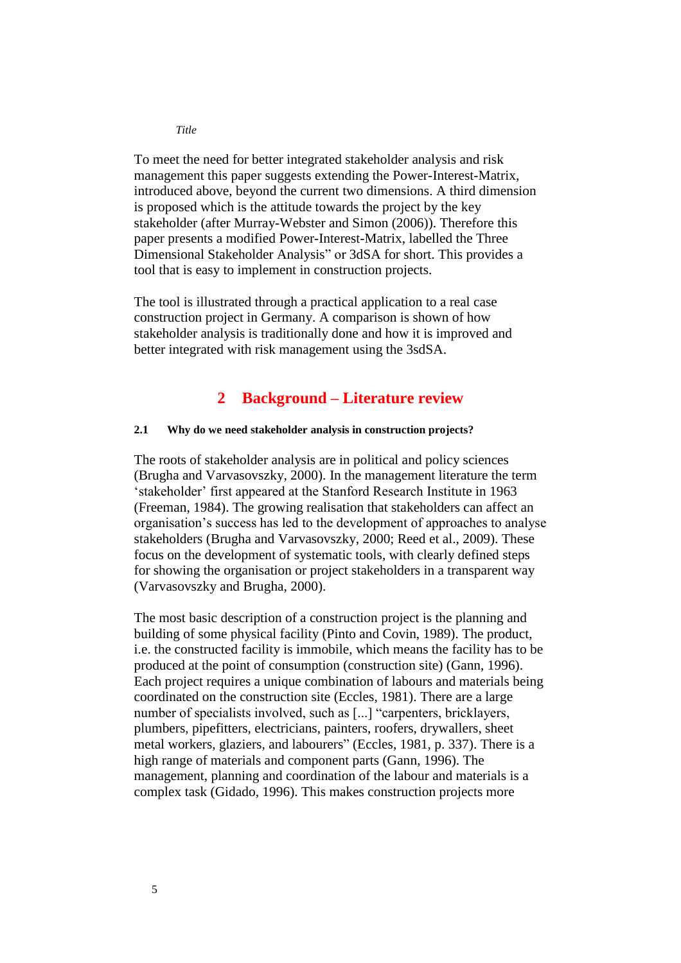To meet the need for better integrated stakeholder analysis and risk management this paper suggests extending the Power-Interest-Matrix, introduced above, beyond the current two dimensions. A third dimension is proposed which is the attitude towards the project by the key stakeholder (after Murray-Webster and Simon (2006)). Therefore this paper presents a modified Power-Interest-Matrix, labelled the Three Dimensional Stakeholder Analysis" or 3dSA for short. This provides a tool that is easy to implement in construction projects.

The tool is illustrated through a practical application to a real case construction project in Germany. A comparison is shown of how stakeholder analysis is traditionally done and how it is improved and better integrated with risk management using the 3sdSA.

### **2 Background – Literature review**

#### **2.1 Why do we need stakeholder analysis in construction projects?**

The roots of stakeholder analysis are in political and policy sciences (Brugha and Varvasovszky, 2000). In the management literature the term 'stakeholder' first appeared at the Stanford Research Institute in 1963 (Freeman, 1984). The growing realisation that stakeholders can affect an organisation's success has led to the development of approaches to analyse stakeholders (Brugha and Varvasovszky, 2000; Reed et al., 2009). These focus on the development of systematic tools, with clearly defined steps for showing the organisation or project stakeholders in a transparent way (Varvasovszky and Brugha, 2000).

The most basic description of a construction project is the planning and building of some physical facility (Pinto and Covin, 1989). The product, i.e. the constructed facility is immobile, which means the facility has to be produced at the point of consumption (construction site) (Gann, 1996). Each project requires a unique combination of labours and materials being coordinated on the construction site (Eccles, 1981). There are a large number of specialists involved, such as [...] "carpenters, bricklayers, plumbers, pipefitters, electricians, painters, roofers, drywallers, sheet metal workers, glaziers, and labourers" (Eccles, 1981, p. 337). There is a high range of materials and component parts (Gann, 1996). The management, planning and coordination of the labour and materials is a complex task (Gidado, 1996). This makes construction projects more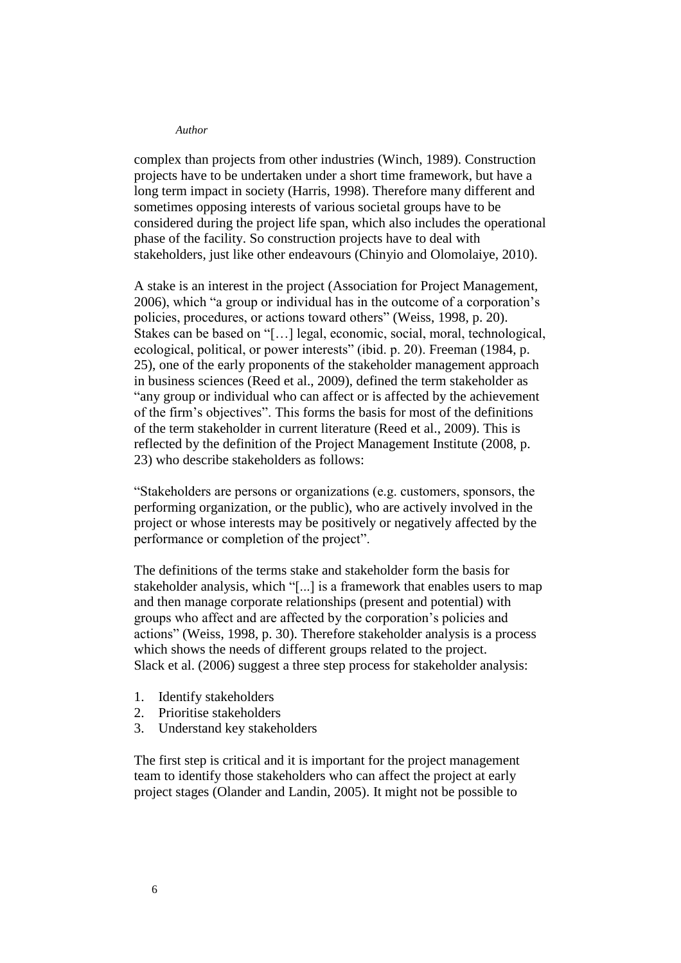complex than projects from other industries (Winch, 1989). Construction projects have to be undertaken under a short time framework, but have a long term impact in society (Harris, 1998). Therefore many different and sometimes opposing interests of various societal groups have to be considered during the project life span, which also includes the operational phase of the facility. So construction projects have to deal with stakeholders, just like other endeavours (Chinyio and Olomolaiye, 2010).

A stake is an interest in the project (Association for Project Management, 2006), which "a group or individual has in the outcome of a corporation's policies, procedures, or actions toward others" (Weiss, 1998, p. 20). Stakes can be based on "[…] legal, economic, social, moral, technological, ecological, political, or power interests" (ibid. p. 20). Freeman (1984, p. 25), one of the early proponents of the stakeholder management approach in business sciences (Reed et al., 2009), defined the term stakeholder as "any group or individual who can affect or is affected by the achievement of the firm's objectives". This forms the basis for most of the definitions of the term stakeholder in current literature (Reed et al., 2009). This is reflected by the definition of the Project Management Institute (2008, p. 23) who describe stakeholders as follows:

"Stakeholders are persons or organizations (e.g. customers, sponsors, the performing organization, or the public), who are actively involved in the project or whose interests may be positively or negatively affected by the performance or completion of the project".

The definitions of the terms stake and stakeholder form the basis for stakeholder analysis, which "[...] is a framework that enables users to map and then manage corporate relationships (present and potential) with groups who affect and are affected by the corporation's policies and actions" (Weiss, 1998, p. 30). Therefore stakeholder analysis is a process which shows the needs of different groups related to the project. Slack et al. (2006) suggest a three step process for stakeholder analysis:

- 1. Identify stakeholders
- 2. Prioritise stakeholders
- 3. Understand key stakeholders

The first step is critical and it is important for the project management team to identify those stakeholders who can affect the project at early project stages (Olander and Landin, 2005). It might not be possible to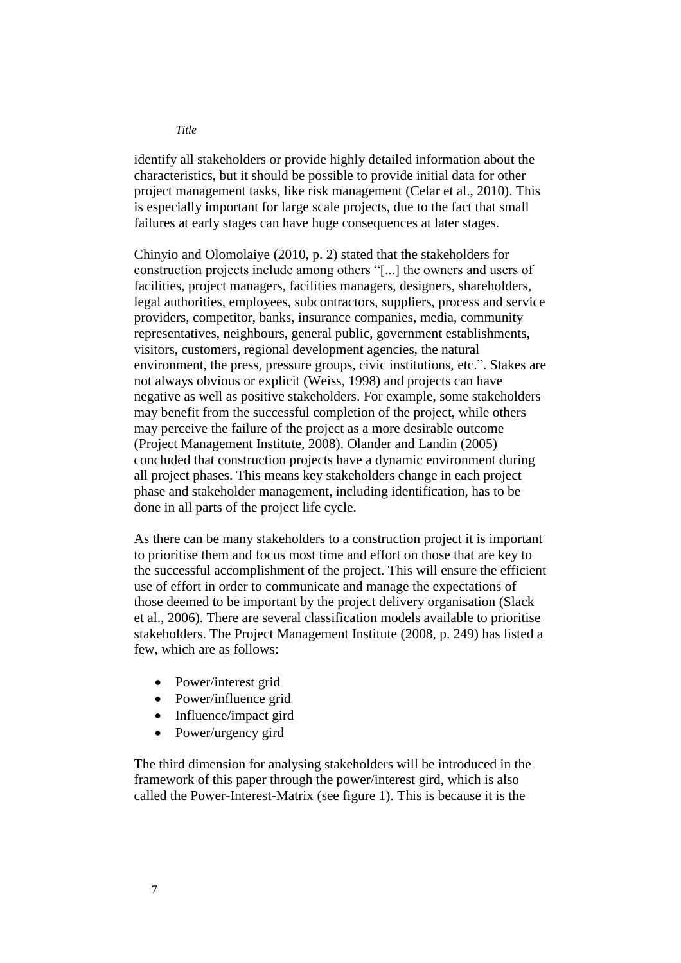# identify all stakeholders or provide highly detailed information about the characteristics, but it should be possible to provide initial data for other project management tasks, like risk management (Celar et al., 2010). This is especially important for large scale projects, due to the fact that small failures at early stages can have huge consequences at later stages.

Chinyio and Olomolaiye (2010, p. 2) stated that the stakeholders for construction projects include among others "[...] the owners and users of facilities, project managers, facilities managers, designers, shareholders, legal authorities, employees, subcontractors, suppliers, process and service providers, competitor, banks, insurance companies, media, community representatives, neighbours, general public, government establishments, visitors, customers, regional development agencies, the natural environment, the press, pressure groups, civic institutions, etc.". Stakes are not always obvious or explicit (Weiss, 1998) and projects can have negative as well as positive stakeholders. For example, some stakeholders may benefit from the successful completion of the project, while others may perceive the failure of the project as a more desirable outcome (Project Management Institute, 2008). Olander and Landin (2005) concluded that construction projects have a dynamic environment during all project phases. This means key stakeholders change in each project phase and stakeholder management, including identification, has to be done in all parts of the project life cycle.

As there can be many stakeholders to a construction project it is important to prioritise them and focus most time and effort on those that are key to the successful accomplishment of the project. This will ensure the efficient use of effort in order to communicate and manage the expectations of those deemed to be important by the project delivery organisation (Slack et al., 2006). There are several classification models available to prioritise stakeholders. The Project Management Institute (2008, p. 249) has listed a few, which are as follows:

- Power/interest grid
- Power/influence grid
- Influence/impact gird
- Power/urgency gird

The third dimension for analysing stakeholders will be introduced in the framework of this paper through the power/interest gird, which is also called the Power-Interest-Matrix (see figure 1). This is because it is the

#### *Title*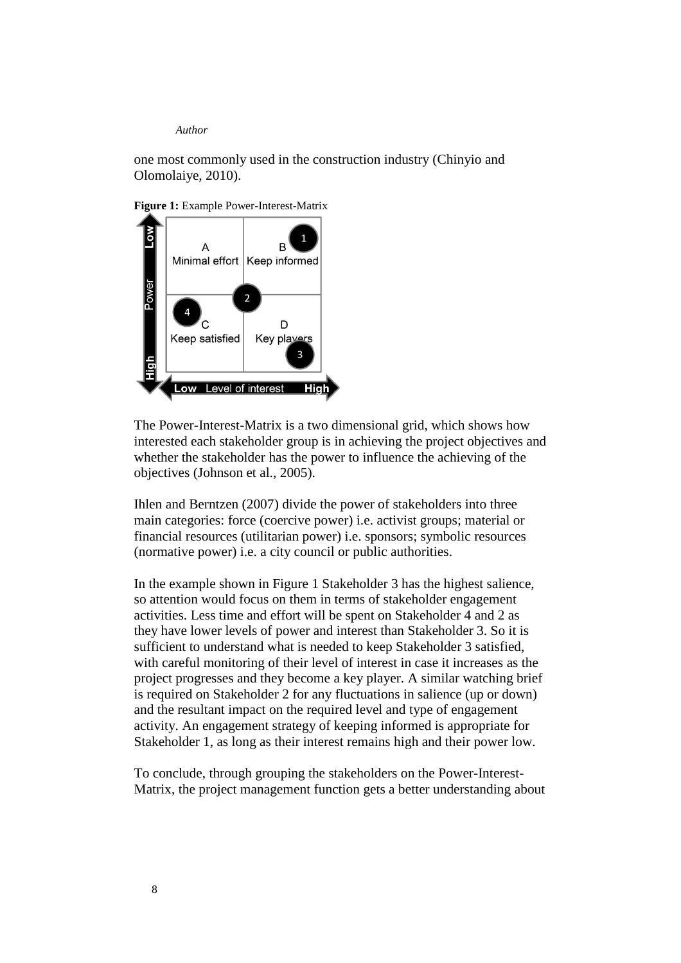one most commonly used in the construction industry (Chinyio and Olomolaiye, 2010).

**Figure 1:** Example Power-Interest-Matrix



The Power-Interest-Matrix is a two dimensional grid, which shows how interested each stakeholder group is in achieving the project objectives and whether the stakeholder has the power to influence the achieving of the objectives (Johnson et al., 2005).

Ihlen and Berntzen (2007) divide the power of stakeholders into three main categories: force (coercive power) i.e. activist groups; material or financial resources (utilitarian power) i.e. sponsors; symbolic resources (normative power) i.e. a city council or public authorities.

In the example shown in Figure 1 Stakeholder 3 has the highest salience, so attention would focus on them in terms of stakeholder engagement activities. Less time and effort will be spent on Stakeholder 4 and 2 as they have lower levels of power and interest than Stakeholder 3. So it is sufficient to understand what is needed to keep Stakeholder 3 satisfied, with careful monitoring of their level of interest in case it increases as the project progresses and they become a key player. A similar watching brief is required on Stakeholder 2 for any fluctuations in salience (up or down) and the resultant impact on the required level and type of engagement activity. An engagement strategy of keeping informed is appropriate for Stakeholder 1, as long as their interest remains high and their power low.

To conclude, through grouping the stakeholders on the Power-Interest-Matrix, the project management function gets a better understanding about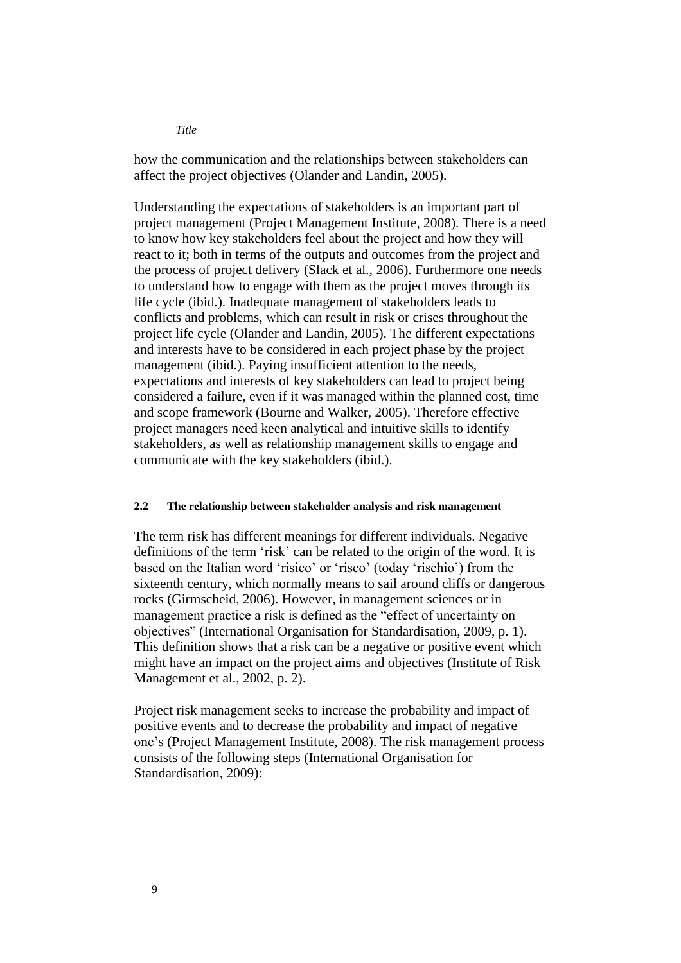how the communication and the relationships between stakeholders can affect the project objectives (Olander and Landin, 2005).

Understanding the expectations of stakeholders is an important part of project management (Project Management Institute, 2008). There is a need to know how key stakeholders feel about the project and how they will react to it; both in terms of the outputs and outcomes from the project and the process of project delivery (Slack et al., 2006). Furthermore one needs to understand how to engage with them as the project moves through its life cycle (ibid.). Inadequate management of stakeholders leads to conflicts and problems, which can result in risk or crises throughout the project life cycle (Olander and Landin, 2005). The different expectations and interests have to be considered in each project phase by the project management (ibid.). Paying insufficient attention to the needs, expectations and interests of key stakeholders can lead to project being considered a failure, even if it was managed within the planned cost, time and scope framework (Bourne and Walker, 2005). Therefore effective project managers need keen analytical and intuitive skills to identify stakeholders, as well as relationship management skills to engage and communicate with the key stakeholders (ibid.).

#### **2.2 The relationship between stakeholder analysis and risk management**

The term risk has different meanings for different individuals. Negative definitions of the term 'risk' can be related to the origin of the word. It is based on the Italian word 'risico' or 'risco' (today 'rischio') from the sixteenth century, which normally means to sail around cliffs or dangerous rocks (Girmscheid, 2006). However, in management sciences or in management practice a risk is defined as the "effect of uncertainty on objectives" (International Organisation for Standardisation, 2009, p. 1). This definition shows that a risk can be a negative or positive event which might have an impact on the project aims and objectives (Institute of Risk Management et al., 2002, p. 2).

Project risk management seeks to increase the probability and impact of positive events and to decrease the probability and impact of negative one's (Project Management Institute, 2008). The risk management process consists of the following steps (International Organisation for Standardisation, 2009):

*Title*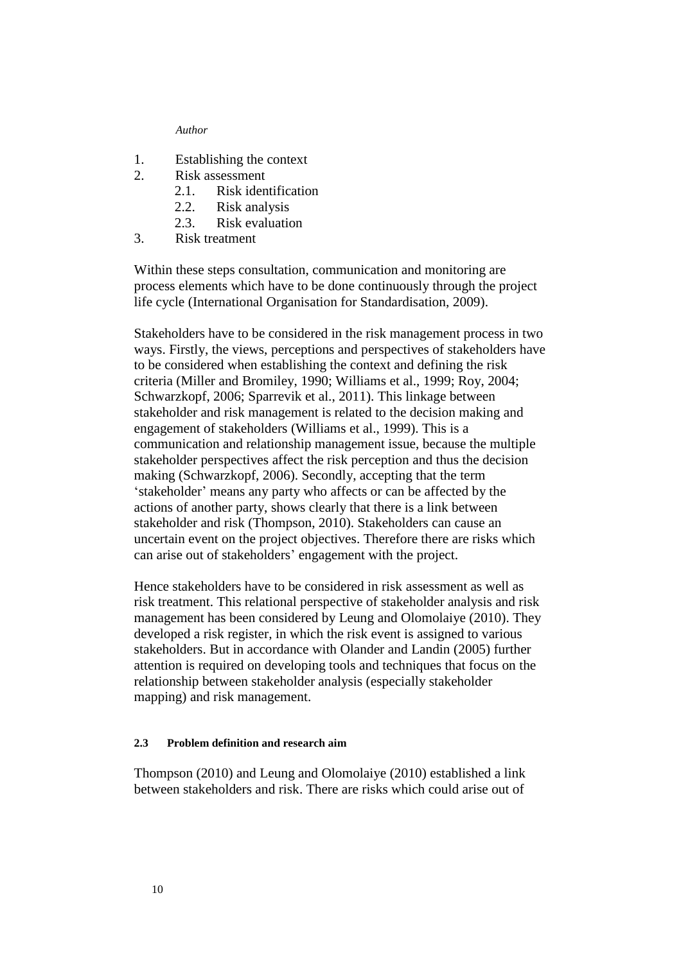- 1. Establishing the context
- 2. Risk assessment
	- 2.1. Risk identification
	- 2.2. Risk analysis
	- 2.3. Risk evaluation
- 3. Risk treatment

Within these steps consultation, communication and monitoring are process elements which have to be done continuously through the project life cycle (International Organisation for Standardisation, 2009).

Stakeholders have to be considered in the risk management process in two ways. Firstly, the views, perceptions and perspectives of stakeholders have to be considered when establishing the context and defining the risk criteria (Miller and Bromiley, 1990; Williams et al., 1999; Roy, 2004; Schwarzkopf, 2006; Sparrevik et al., 2011). This linkage between stakeholder and risk management is related to the decision making and engagement of stakeholders (Williams et al., 1999). This is a communication and relationship management issue, because the multiple stakeholder perspectives affect the risk perception and thus the decision making (Schwarzkopf, 2006). Secondly, accepting that the term 'stakeholder' means any party who affects or can be affected by the actions of another party, shows clearly that there is a link between stakeholder and risk (Thompson, 2010). Stakeholders can cause an uncertain event on the project objectives. Therefore there are risks which can arise out of stakeholders' engagement with the project.

Hence stakeholders have to be considered in risk assessment as well as risk treatment. This relational perspective of stakeholder analysis and risk management has been considered by Leung and Olomolaiye (2010). They developed a risk register, in which the risk event is assigned to various stakeholders. But in accordance with Olander and Landin (2005) further attention is required on developing tools and techniques that focus on the relationship between stakeholder analysis (especially stakeholder mapping) and risk management.

#### **2.3 Problem definition and research aim**

Thompson (2010) and Leung and Olomolaiye (2010) established a link between stakeholders and risk. There are risks which could arise out of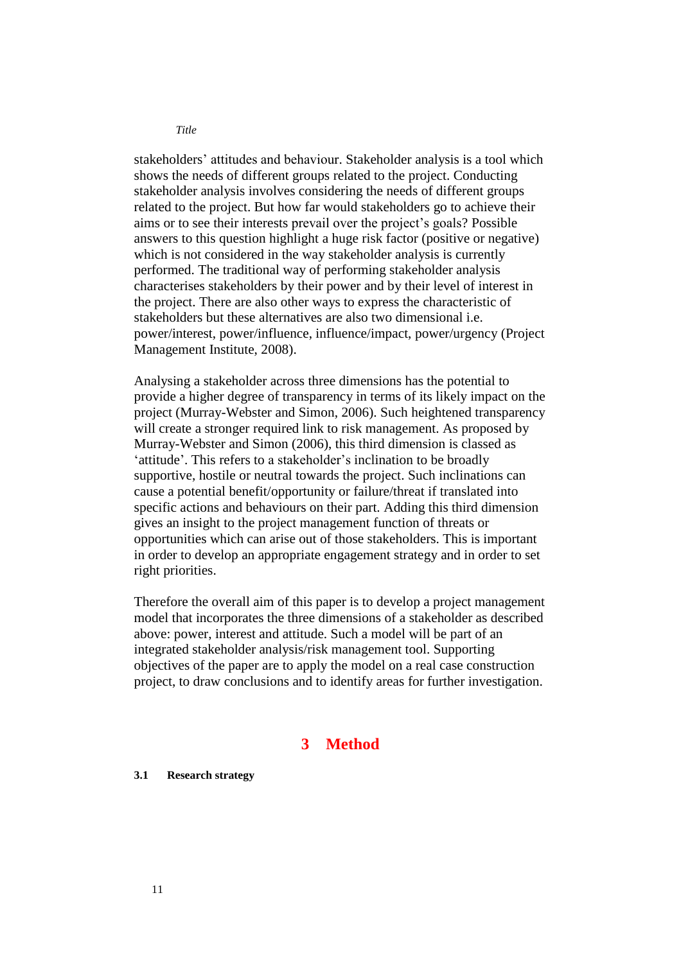stakeholders' attitudes and behaviour. Stakeholder analysis is a tool which shows the needs of different groups related to the project. Conducting stakeholder analysis involves considering the needs of different groups related to the project. But how far would stakeholders go to achieve their aims or to see their interests prevail over the project's goals? Possible answers to this question highlight a huge risk factor (positive or negative) which is not considered in the way stakeholder analysis is currently performed. The traditional way of performing stakeholder analysis characterises stakeholders by their power and by their level of interest in the project. There are also other ways to express the characteristic of stakeholders but these alternatives are also two dimensional i.e. power/interest, power/influence, influence/impact, power/urgency (Project Management Institute, 2008).

Analysing a stakeholder across three dimensions has the potential to provide a higher degree of transparency in terms of its likely impact on the project (Murray-Webster and Simon, 2006). Such heightened transparency will create a stronger required link to risk management. As proposed by Murray-Webster and Simon (2006), this third dimension is classed as 'attitude'. This refers to a stakeholder's inclination to be broadly supportive, hostile or neutral towards the project. Such inclinations can cause a potential benefit/opportunity or failure/threat if translated into specific actions and behaviours on their part. Adding this third dimension gives an insight to the project management function of threats or opportunities which can arise out of those stakeholders. This is important in order to develop an appropriate engagement strategy and in order to set right priorities.

Therefore the overall aim of this paper is to develop a project management model that incorporates the three dimensions of a stakeholder as described above: power, interest and attitude. Such a model will be part of an integrated stakeholder analysis/risk management tool. Supporting objectives of the paper are to apply the model on a real case construction project, to draw conclusions and to identify areas for further investigation.

# **3 Method**

**3.1 Research strategy**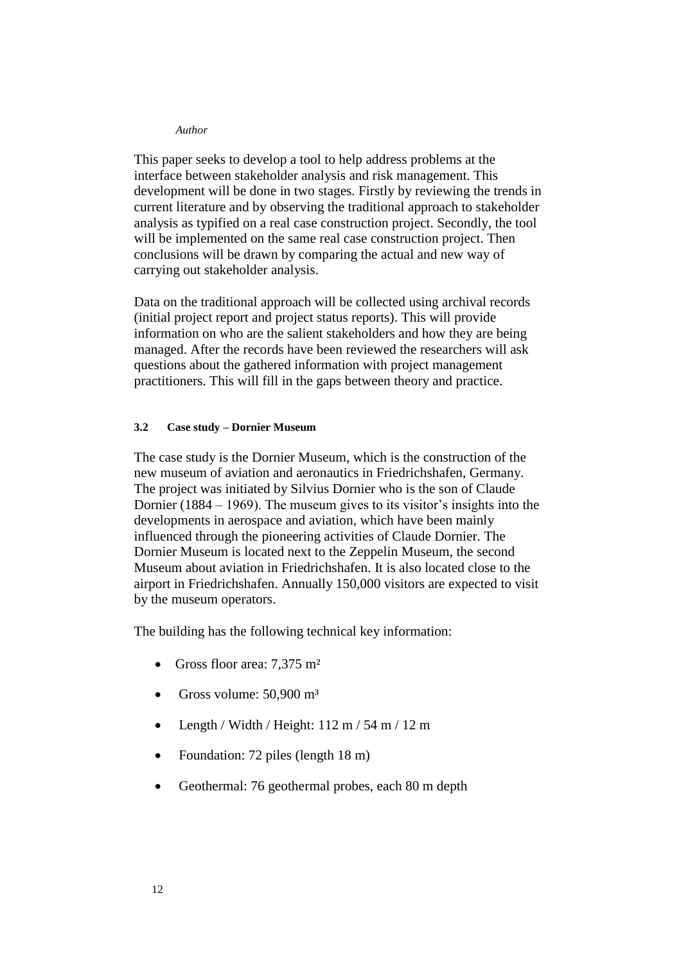This paper seeks to develop a tool to help address problems at the interface between stakeholder analysis and risk management. This development will be done in two stages. Firstly by reviewing the trends in current literature and by observing the traditional approach to stakeholder analysis as typified on a real case construction project. Secondly, the tool will be implemented on the same real case construction project. Then conclusions will be drawn by comparing the actual and new way of carrying out stakeholder analysis.

Data on the traditional approach will be collected using archival records (initial project report and project status reports). This will provide information on who are the salient stakeholders and how they are being managed. After the records have been reviewed the researchers will ask questions about the gathered information with project management practitioners. This will fill in the gaps between theory and practice.

#### **3.2 Case study – Dornier Museum**

The case study is the Dornier Museum, which is the construction of the new museum of aviation and aeronautics in Friedrichshafen, Germany. The project was initiated by Silvius Dornier who is the son of Claude Dornier (1884 – 1969). The museum gives to its visitor's insights into the developments in aerospace and aviation, which have been mainly influenced through the pioneering activities of Claude Dornier. The Dornier Museum is located next to the Zeppelin Museum, the second Museum about aviation in Friedrichshafen. It is also located close to the airport in Friedrichshafen. Annually 150,000 visitors are expected to visit by the museum operators.

The building has the following technical key information:

- Gross floor area: 7,375 m<sup>2</sup>
- Gross volume: 50,900 m<sup>3</sup>
- Length / Width / Height:  $112 \text{ m}$  /  $54 \text{ m}$  /  $12 \text{ m}$
- Foundation: 72 piles (length 18 m)
- Geothermal: 76 geothermal probes, each 80 m depth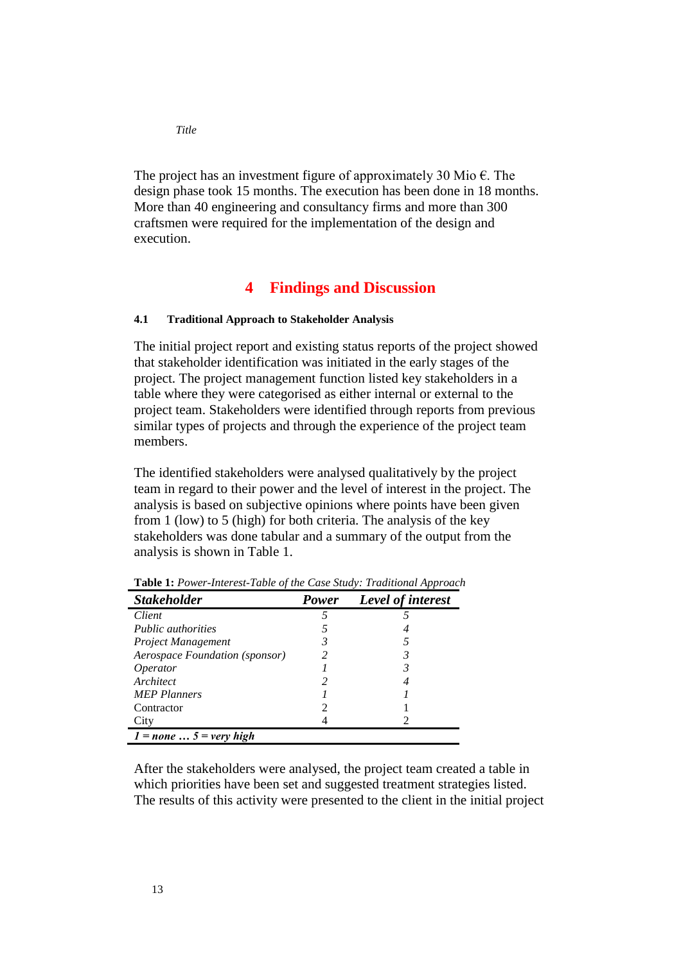The project has an investment figure of approximately 30 Mio  $\epsilon$ . The design phase took 15 months. The execution has been done in 18 months. More than 40 engineering and consultancy firms and more than 300 craftsmen were required for the implementation of the design and execution.

### **4 Findings and Discussion**

#### **4.1 Traditional Approach to Stakeholder Analysis**

The initial project report and existing status reports of the project showed that stakeholder identification was initiated in the early stages of the project. The project management function listed key stakeholders in a table where they were categorised as either internal or external to the project team. Stakeholders were identified through reports from previous similar types of projects and through the experience of the project team members.

The identified stakeholders were analysed qualitatively by the project team in regard to their power and the level of interest in the project. The analysis is based on subjective opinions where points have been given from 1 (low) to 5 (high) for both criteria. The analysis of the key stakeholders was done tabular and a summary of the output from the analysis is shown in Table 1.

| <b>Stakeholder</b>              | <b>Power</b> | Level of interest |  |  |  |
|---------------------------------|--------------|-------------------|--|--|--|
| Client                          |              |                   |  |  |  |
| <i>Public authorities</i>       |              |                   |  |  |  |
| Project Management              | 3            |                   |  |  |  |
| Aerospace Foundation (sponsor)  | 2            |                   |  |  |  |
| <i>Operator</i>                 |              |                   |  |  |  |
| Architect                       |              |                   |  |  |  |
| <b>MEP</b> Planners             |              |                   |  |  |  |
| Contractor                      |              |                   |  |  |  |
| City                            |              |                   |  |  |  |
| $1 = none \ldots 5 = very high$ |              |                   |  |  |  |

**Table 1:** *Power-Interest-Table of the Case Study: Traditional Approach*

After the stakeholders were analysed, the project team created a table in which priorities have been set and suggested treatment strategies listed. The results of this activity were presented to the client in the initial project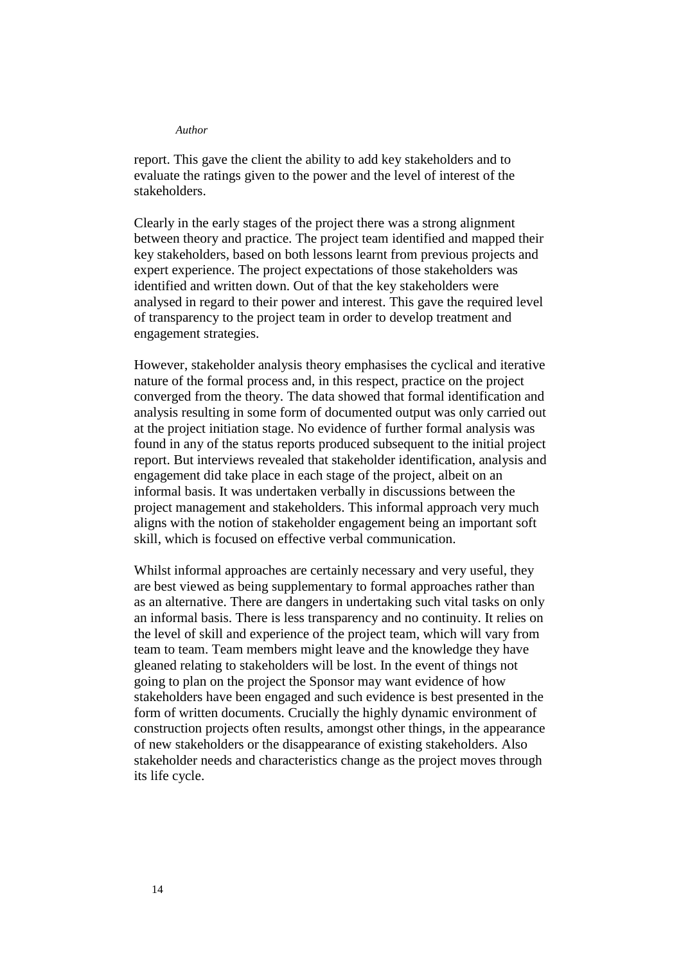report. This gave the client the ability to add key stakeholders and to evaluate the ratings given to the power and the level of interest of the stakeholders.

Clearly in the early stages of the project there was a strong alignment between theory and practice. The project team identified and mapped their key stakeholders, based on both lessons learnt from previous projects and expert experience. The project expectations of those stakeholders was identified and written down. Out of that the key stakeholders were analysed in regard to their power and interest. This gave the required level of transparency to the project team in order to develop treatment and engagement strategies.

However, stakeholder analysis theory emphasises the cyclical and iterative nature of the formal process and, in this respect, practice on the project converged from the theory. The data showed that formal identification and analysis resulting in some form of documented output was only carried out at the project initiation stage. No evidence of further formal analysis was found in any of the status reports produced subsequent to the initial project report. But interviews revealed that stakeholder identification, analysis and engagement did take place in each stage of the project, albeit on an informal basis. It was undertaken verbally in discussions between the project management and stakeholders. This informal approach very much aligns with the notion of stakeholder engagement being an important soft skill, which is focused on effective verbal communication.

Whilst informal approaches are certainly necessary and very useful, they are best viewed as being supplementary to formal approaches rather than as an alternative. There are dangers in undertaking such vital tasks on only an informal basis. There is less transparency and no continuity. It relies on the level of skill and experience of the project team, which will vary from team to team. Team members might leave and the knowledge they have gleaned relating to stakeholders will be lost. In the event of things not going to plan on the project the Sponsor may want evidence of how stakeholders have been engaged and such evidence is best presented in the form of written documents. Crucially the highly dynamic environment of construction projects often results, amongst other things, in the appearance of new stakeholders or the disappearance of existing stakeholders. Also stakeholder needs and characteristics change as the project moves through its life cycle.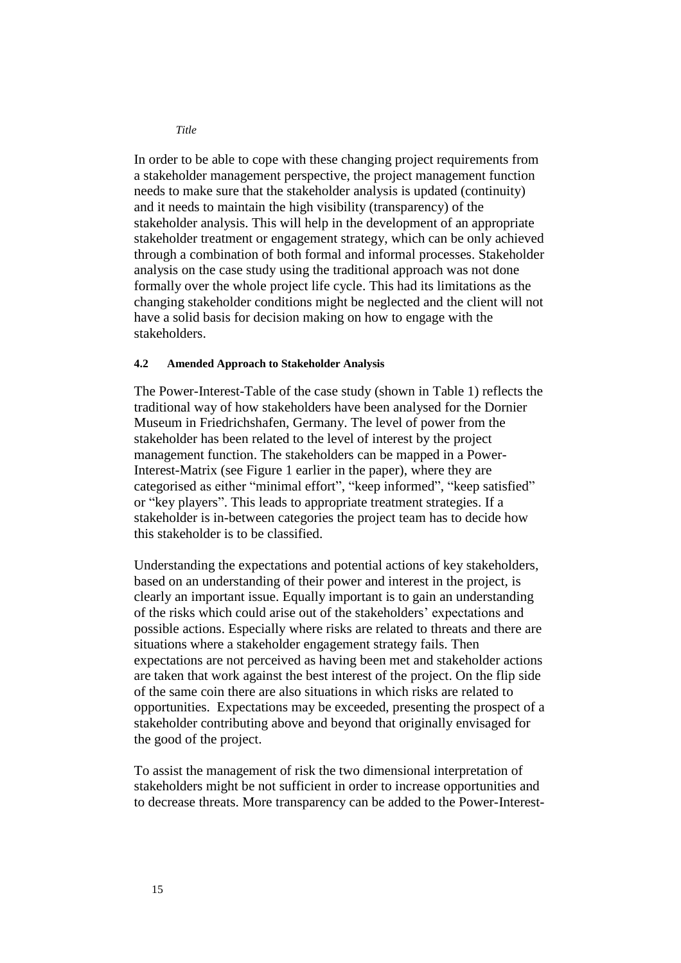In order to be able to cope with these changing project requirements from a stakeholder management perspective, the project management function needs to make sure that the stakeholder analysis is updated (continuity) and it needs to maintain the high visibility (transparency) of the stakeholder analysis. This will help in the development of an appropriate stakeholder treatment or engagement strategy, which can be only achieved through a combination of both formal and informal processes. Stakeholder analysis on the case study using the traditional approach was not done formally over the whole project life cycle. This had its limitations as the changing stakeholder conditions might be neglected and the client will not have a solid basis for decision making on how to engage with the stakeholders.

#### **4.2 Amended Approach to Stakeholder Analysis**

The Power-Interest-Table of the case study (shown in Table 1) reflects the traditional way of how stakeholders have been analysed for the Dornier Museum in Friedrichshafen, Germany. The level of power from the stakeholder has been related to the level of interest by the project management function. The stakeholders can be mapped in a Power-Interest-Matrix (see Figure 1 earlier in the paper), where they are categorised as either "minimal effort", "keep informed", "keep satisfied" or "key players". This leads to appropriate treatment strategies. If a stakeholder is in-between categories the project team has to decide how this stakeholder is to be classified.

Understanding the expectations and potential actions of key stakeholders, based on an understanding of their power and interest in the project, is clearly an important issue. Equally important is to gain an understanding of the risks which could arise out of the stakeholders' expectations and possible actions. Especially where risks are related to threats and there are situations where a stakeholder engagement strategy fails. Then expectations are not perceived as having been met and stakeholder actions are taken that work against the best interest of the project. On the flip side of the same coin there are also situations in which risks are related to opportunities. Expectations may be exceeded, presenting the prospect of a stakeholder contributing above and beyond that originally envisaged for the good of the project.

To assist the management of risk the two dimensional interpretation of stakeholders might be not sufficient in order to increase opportunities and to decrease threats. More transparency can be added to the Power-Interest-

*Title*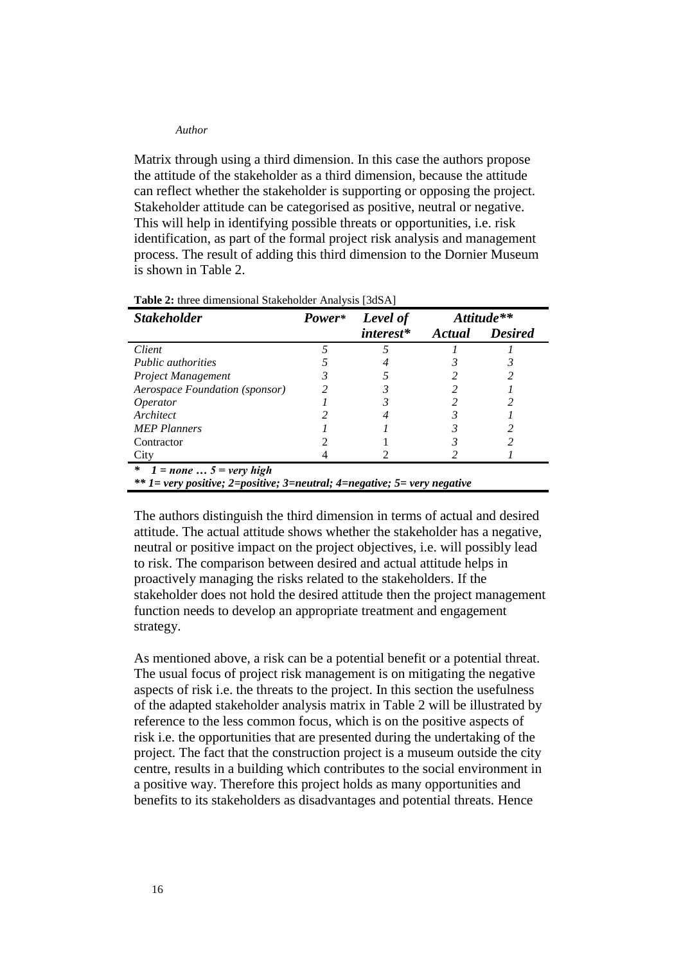Matrix through using a third dimension. In this case the authors propose the attitude of the stakeholder as a third dimension, because the attitude can reflect whether the stakeholder is supporting or opposing the project. Stakeholder attitude can be categorised as positive, neutral or negative. This will help in identifying possible threats or opportunities, i.e. risk identification, as part of the formal project risk analysis and management process. The result of adding this third dimension to the Dornier Museum is shown in Table 2.

| <b>Stakeholder</b>                                                       | Power* | Level of              | Attitude <sup>**</sup> |                |  |
|--------------------------------------------------------------------------|--------|-----------------------|------------------------|----------------|--|
|                                                                          |        | interest <sup>*</sup> | Actual                 | <b>Desired</b> |  |
| Client                                                                   |        |                       |                        |                |  |
| <i>Public authorities</i>                                                |        |                       |                        |                |  |
| Project Management                                                       |        |                       |                        |                |  |
| Aerospace Foundation (sponsor)                                           |        |                       |                        |                |  |
| <i>Operator</i>                                                          |        |                       |                        |                |  |
| Architect                                                                |        |                       |                        |                |  |
| <b>MEP</b> Planners                                                      |        |                       |                        |                |  |
| Contractor                                                               |        |                       |                        |                |  |
| City                                                                     |        |                       |                        |                |  |
| ∗<br>$1 = none \ldots 5 = very high$                                     |        |                       |                        |                |  |
| ** 1= very positive; 2=positive; 3=neutral; 4=negative; 5= very negative |        |                       |                        |                |  |

**Table 2:** three dimensional Stakeholder Analysis [3dSA]

The authors distinguish the third dimension in terms of actual and desired attitude. The actual attitude shows whether the stakeholder has a negative, neutral or positive impact on the project objectives, i.e. will possibly lead to risk. The comparison between desired and actual attitude helps in proactively managing the risks related to the stakeholders. If the stakeholder does not hold the desired attitude then the project management function needs to develop an appropriate treatment and engagement strategy.

As mentioned above, a risk can be a potential benefit or a potential threat. The usual focus of project risk management is on mitigating the negative aspects of risk i.e. the threats to the project. In this section the usefulness of the adapted stakeholder analysis matrix in Table 2 will be illustrated by reference to the less common focus, which is on the positive aspects of risk i.e. the opportunities that are presented during the undertaking of the project. The fact that the construction project is a museum outside the city centre, results in a building which contributes to the social environment in a positive way. Therefore this project holds as many opportunities and benefits to its stakeholders as disadvantages and potential threats. Hence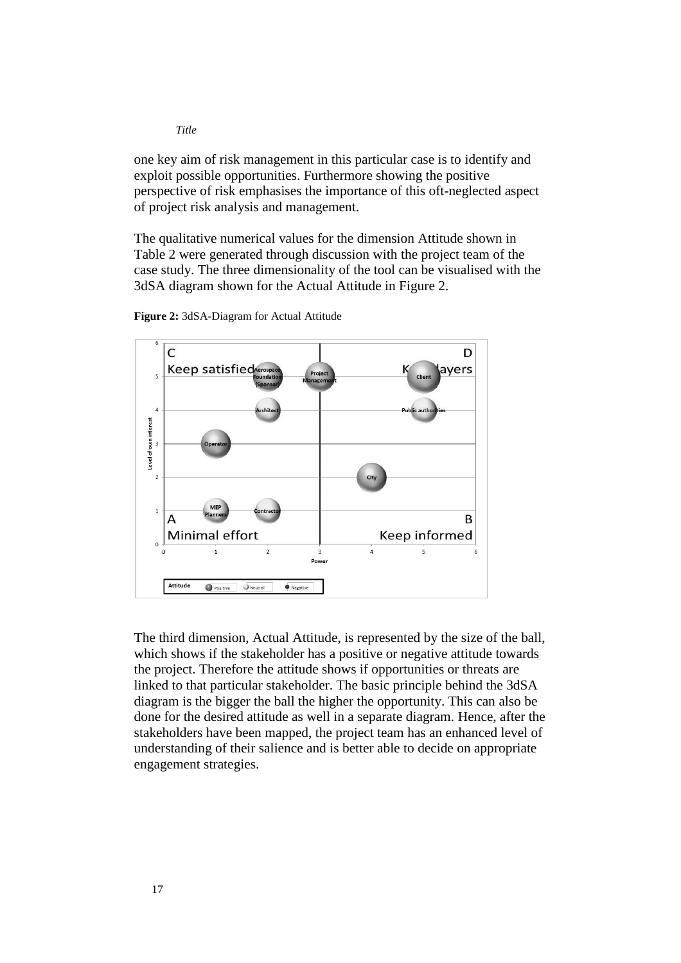one key aim of risk management in this particular case is to identify and exploit possible opportunities. Furthermore showing the positive perspective of risk emphasises the importance of this oft-neglected aspect of project risk analysis and management.

The qualitative numerical values for the dimension Attitude shown in Table 2 were generated through discussion with the project team of the case study. The three dimensionality of the tool can be visualised with the 3dSA diagram shown for the Actual Attitude in Figure 2.



**Figure 2:** 3dSA-Diagram for Actual Attitude

The third dimension, Actual Attitude, is represented by the size of the ball, which shows if the stakeholder has a positive or negative attitude towards the project. Therefore the attitude shows if opportunities or threats are linked to that particular stakeholder. The basic principle behind the 3dSA diagram is the bigger the ball the higher the opportunity. This can also be done for the desired attitude as well in a separate diagram. Hence, after the stakeholders have been mapped, the project team has an enhanced level of understanding of their salience and is better able to decide on appropriate engagement strategies.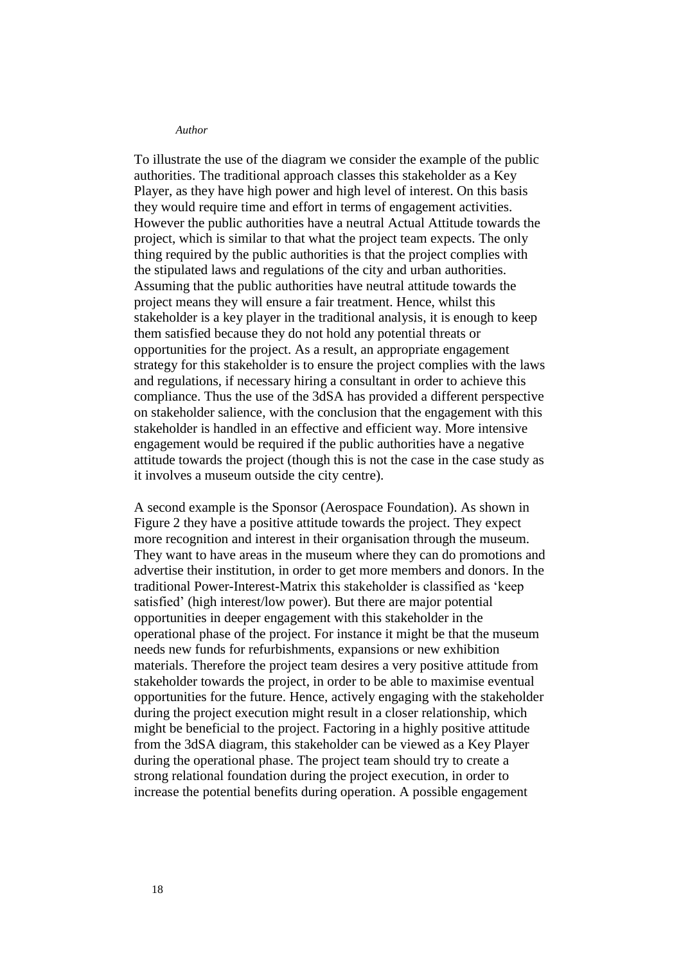To illustrate the use of the diagram we consider the example of the public authorities. The traditional approach classes this stakeholder as a Key Player, as they have high power and high level of interest. On this basis they would require time and effort in terms of engagement activities. However the public authorities have a neutral Actual Attitude towards the project, which is similar to that what the project team expects. The only thing required by the public authorities is that the project complies with the stipulated laws and regulations of the city and urban authorities. Assuming that the public authorities have neutral attitude towards the project means they will ensure a fair treatment. Hence, whilst this stakeholder is a key player in the traditional analysis, it is enough to keep them satisfied because they do not hold any potential threats or opportunities for the project. As a result, an appropriate engagement strategy for this stakeholder is to ensure the project complies with the laws and regulations, if necessary hiring a consultant in order to achieve this compliance. Thus the use of the 3dSA has provided a different perspective on stakeholder salience, with the conclusion that the engagement with this stakeholder is handled in an effective and efficient way. More intensive engagement would be required if the public authorities have a negative attitude towards the project (though this is not the case in the case study as it involves a museum outside the city centre).

A second example is the Sponsor (Aerospace Foundation). As shown in Figure 2 they have a positive attitude towards the project. They expect more recognition and interest in their organisation through the museum. They want to have areas in the museum where they can do promotions and advertise their institution, in order to get more members and donors. In the traditional Power-Interest-Matrix this stakeholder is classified as 'keep satisfied' (high interest/low power). But there are major potential opportunities in deeper engagement with this stakeholder in the operational phase of the project. For instance it might be that the museum needs new funds for refurbishments, expansions or new exhibition materials. Therefore the project team desires a very positive attitude from stakeholder towards the project, in order to be able to maximise eventual opportunities for the future. Hence, actively engaging with the stakeholder during the project execution might result in a closer relationship, which might be beneficial to the project. Factoring in a highly positive attitude from the 3dSA diagram, this stakeholder can be viewed as a Key Player during the operational phase. The project team should try to create a strong relational foundation during the project execution, in order to increase the potential benefits during operation. A possible engagement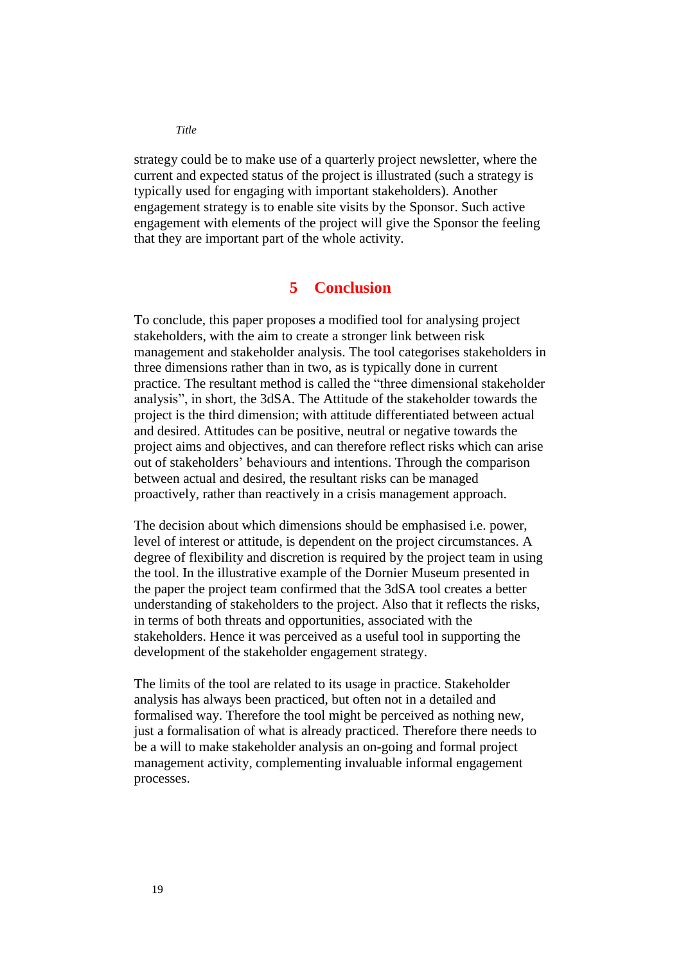strategy could be to make use of a quarterly project newsletter, where the current and expected status of the project is illustrated (such a strategy is typically used for engaging with important stakeholders). Another engagement strategy is to enable site visits by the Sponsor. Such active engagement with elements of the project will give the Sponsor the feeling that they are important part of the whole activity.

### **5 Conclusion**

To conclude, this paper proposes a modified tool for analysing project stakeholders, with the aim to create a stronger link between risk management and stakeholder analysis. The tool categorises stakeholders in three dimensions rather than in two, as is typically done in current practice. The resultant method is called the "three dimensional stakeholder analysis", in short, the 3dSA. The Attitude of the stakeholder towards the project is the third dimension; with attitude differentiated between actual and desired. Attitudes can be positive, neutral or negative towards the project aims and objectives, and can therefore reflect risks which can arise out of stakeholders' behaviours and intentions. Through the comparison between actual and desired, the resultant risks can be managed proactively, rather than reactively in a crisis management approach.

The decision about which dimensions should be emphasised i.e. power, level of interest or attitude, is dependent on the project circumstances. A degree of flexibility and discretion is required by the project team in using the tool. In the illustrative example of the Dornier Museum presented in the paper the project team confirmed that the 3dSA tool creates a better understanding of stakeholders to the project. Also that it reflects the risks, in terms of both threats and opportunities, associated with the stakeholders. Hence it was perceived as a useful tool in supporting the development of the stakeholder engagement strategy.

The limits of the tool are related to its usage in practice. Stakeholder analysis has always been practiced, but often not in a detailed and formalised way. Therefore the tool might be perceived as nothing new, just a formalisation of what is already practiced. Therefore there needs to be a will to make stakeholder analysis an on-going and formal project management activity, complementing invaluable informal engagement processes.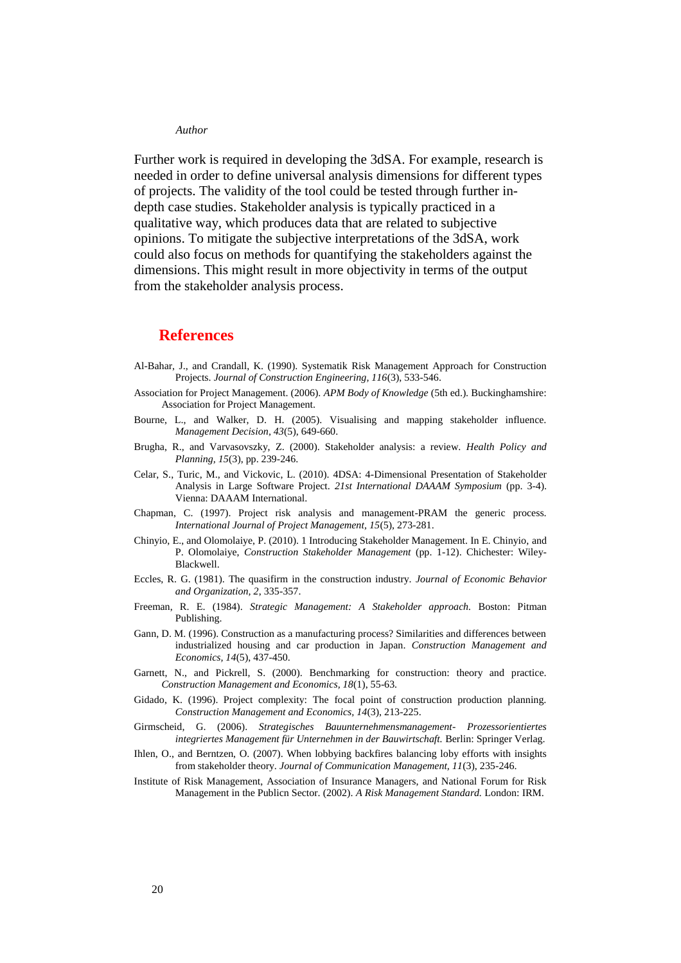Further work is required in developing the 3dSA. For example, research is needed in order to define universal analysis dimensions for different types of projects. The validity of the tool could be tested through further indepth case studies. Stakeholder analysis is typically practiced in a qualitative way, which produces data that are related to subjective opinions. To mitigate the subjective interpretations of the 3dSA, work could also focus on methods for quantifying the stakeholders against the dimensions. This might result in more objectivity in terms of the output from the stakeholder analysis process.

### **References**

- Al-Bahar, J., and Crandall, K. (1990). Systematik Risk Management Approach for Construction Projects. *Journal of Construction Engineering, 116*(3), 533-546.
- Association for Project Management. (2006). *APM Body of Knowledge* (5th ed.). Buckinghamshire: Association for Project Management.
- Bourne, L., and Walker, D. H. (2005). Visualising and mapping stakeholder influence. *Management Decision, 43*(5), 649-660.
- Brugha, R., and Varvasovszky, Z. (2000). Stakeholder analysis: a review. *Health Policy and Planning, 15*(3), pp. 239-246.
- Celar, S., Turic, M., and Vickovic, L. (2010). 4DSA: 4-Dimensional Presentation of Stakeholder Analysis in Large Software Project. *21st International DAAAM Symposium* (pp. 3-4). Vienna: DAAAM International.
- Chapman, C. (1997). Project risk analysis and management-PRAM the generic process. *International Journal of Project Management, 15*(5), 273-281.
- Chinyio, E., and Olomolaiye, P. (2010). 1 Introducing Stakeholder Management. In E. Chinyio, and P. Olomolaiye, *Construction Stakeholder Management* (pp. 1-12). Chichester: Wiley-Blackwell.
- Eccles, R. G. (1981). The quasifirm in the construction industry. *Journal of Economic Behavior and Organization, 2*, 335-357.
- Freeman, R. E. (1984). *Strategic Management: A Stakeholder approach.* Boston: Pitman Publishing.
- Gann, D. M. (1996). Construction as a manufacturing process? Similarities and differences between industrialized housing and car production in Japan. *Construction Management and Economics, 14*(5), 437-450.
- Garnett, N., and Pickrell, S. (2000). Benchmarking for construction: theory and practice. *Construction Management and Economics, 18*(1), 55-63.
- Gidado, K. (1996). Project complexity: The focal point of construction production planning. *Construction Management and Economics, 14*(3), 213-225.
- Girmscheid, G. (2006). *Strategisches Bauunternehmensmanagement- Prozessorientiertes integriertes Management für Unternehmen in der Bauwirtschaft.* Berlin: Springer Verlag.
- Ihlen, O., and Berntzen, O. (2007). When lobbying backfires balancing loby efforts with insights from stakeholder theory. *Journal of Communication Management, 11*(3), 235-246.
- Institute of Risk Management, Association of Insurance Managers, and National Forum for Risk Management in the Publicn Sector. (2002). *A Risk Management Standard.* London: IRM.